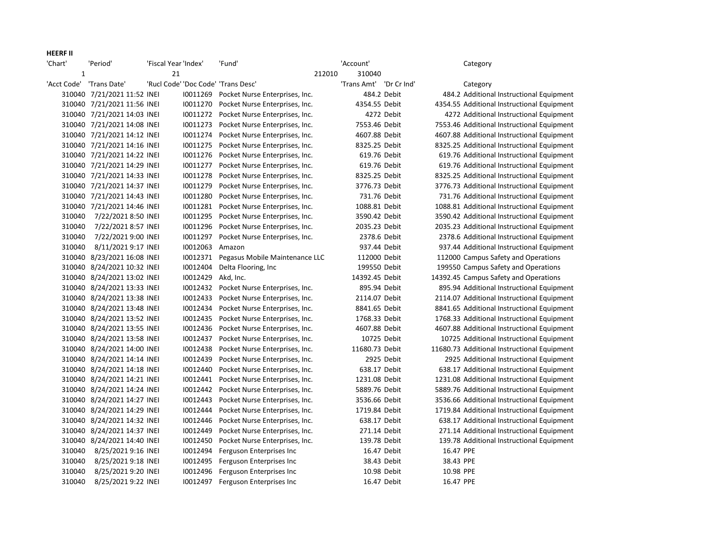## HEERF II

| 'Chart'      | 'Period'                    | 'Fiscal Year 'Index' |          | 'Fund'                                  |        | 'Account'               |             |           | Category                                    |
|--------------|-----------------------------|----------------------|----------|-----------------------------------------|--------|-------------------------|-------------|-----------|---------------------------------------------|
| $\mathbf{1}$ |                             | 21                   |          |                                         | 212010 | 310040                  |             |           |                                             |
| 'Acct Code'  | 'Trans Date'                |                      |          | 'Rucl Code' 'Doc Code' 'Trans Desc'     |        | 'Trans Amt' 'Dr Cr Ind' |             |           | Category                                    |
|              | 310040 7/21/2021 11:52 INEI |                      |          | 10011269 Pocket Nurse Enterprises, Inc. |        |                         | 484.2 Debit |           | 484.2 Additional Instructional Equipment    |
|              | 310040 7/21/2021 11:56 INEI |                      | 10011270 | Pocket Nurse Enterprises, Inc.          |        | 4354.55 Debit           |             |           | 4354.55 Additional Instructional Equipment  |
|              | 310040 7/21/2021 14:03 INEI |                      |          | 10011272 Pocket Nurse Enterprises, Inc. |        |                         | 4272 Debit  |           | 4272 Additional Instructional Equipment     |
|              | 310040 7/21/2021 14:08 INEI |                      | 10011273 | Pocket Nurse Enterprises, Inc.          |        | 7553.46 Debit           |             |           | 7553.46 Additional Instructional Equipment  |
|              | 310040 7/21/2021 14:12 INEI |                      | 10011274 | Pocket Nurse Enterprises, Inc.          |        | 4607.88 Debit           |             |           | 4607.88 Additional Instructional Equipment  |
|              | 310040 7/21/2021 14:16 INEI |                      |          | 10011275 Pocket Nurse Enterprises, Inc. |        | 8325.25 Debit           |             |           | 8325.25 Additional Instructional Equipment  |
|              | 310040 7/21/2021 14:22 INEI |                      | 10011276 | Pocket Nurse Enterprises, Inc.          |        | 619.76 Debit            |             |           | 619.76 Additional Instructional Equipment   |
|              | 310040 7/21/2021 14:29 INEI |                      |          | 10011277 Pocket Nurse Enterprises, Inc. |        | 619.76 Debit            |             |           | 619.76 Additional Instructional Equipment   |
|              | 310040 7/21/2021 14:33 INEI |                      | 10011278 | Pocket Nurse Enterprises, Inc.          |        | 8325.25 Debit           |             |           | 8325.25 Additional Instructional Equipment  |
|              | 310040 7/21/2021 14:37 INEI |                      | 10011279 | Pocket Nurse Enterprises, Inc.          |        | 3776.73 Debit           |             |           | 3776.73 Additional Instructional Equipment  |
|              | 310040 7/21/2021 14:43 INEI |                      | 10011280 | Pocket Nurse Enterprises, Inc.          |        | 731.76 Debit            |             |           | 731.76 Additional Instructional Equipment   |
|              | 310040 7/21/2021 14:46 INEI |                      |          | 10011281 Pocket Nurse Enterprises, Inc. |        | 1088.81 Debit           |             |           | 1088.81 Additional Instructional Equipment  |
| 310040       | 7/22/2021 8:50 INEI         |                      |          | 10011295 Pocket Nurse Enterprises, Inc. |        | 3590.42 Debit           |             |           | 3590.42 Additional Instructional Equipment  |
| 310040       | 7/22/2021 8:57 INEI         |                      | 10011296 | Pocket Nurse Enterprises, Inc.          |        | 2035.23 Debit           |             |           | 2035.23 Additional Instructional Equipment  |
| 310040       | 7/22/2021 9:00 INEI         |                      | 10011297 | Pocket Nurse Enterprises, Inc.          |        | 2378.6 Debit            |             |           | 2378.6 Additional Instructional Equipment   |
| 310040       | 8/11/2021 9:17 INEI         |                      | 10012063 | Amazon                                  |        | 937.44 Debit            |             |           | 937.44 Additional Instructional Equipment   |
|              | 310040 8/23/2021 16:08 INEI |                      |          | 10012371 Pegasus Mobile Maintenance LLC |        | 112000 Debit            |             |           | 112000 Campus Safety and Operations         |
|              | 310040 8/24/2021 10:32 INEI |                      | 10012404 | Delta Flooring, Inc.                    |        | 199550 Debit            |             |           | 199550 Campus Safety and Operations         |
|              | 310040 8/24/2021 13:02 INEI |                      | 10012429 | Akd, Inc.                               |        | 14392.45 Debit          |             |           | 14392.45 Campus Safety and Operations       |
|              | 310040 8/24/2021 13:33 INEI |                      |          | 10012432 Pocket Nurse Enterprises, Inc. |        | 895.94 Debit            |             |           | 895.94 Additional Instructional Equipment   |
|              | 310040 8/24/2021 13:38 INEI |                      | 10012433 | Pocket Nurse Enterprises, Inc.          |        | 2114.07 Debit           |             |           | 2114.07 Additional Instructional Equipment  |
|              | 310040 8/24/2021 13:48 INEI |                      | 10012434 | Pocket Nurse Enterprises, Inc.          |        | 8841.65 Debit           |             |           | 8841.65 Additional Instructional Equipment  |
|              | 310040 8/24/2021 13:52 INEI |                      | 10012435 | Pocket Nurse Enterprises, Inc.          |        | 1768.33 Debit           |             |           | 1768.33 Additional Instructional Equipment  |
|              | 310040 8/24/2021 13:55 INEI |                      | 10012436 | Pocket Nurse Enterprises, Inc.          |        | 4607.88 Debit           |             |           | 4607.88 Additional Instructional Equipment  |
|              | 310040 8/24/2021 13:58 INEI |                      | 10012437 | Pocket Nurse Enterprises, Inc.          |        | 10725 Debit             |             |           | 10725 Additional Instructional Equipment    |
|              | 310040 8/24/2021 14:00 INEI |                      | 10012438 | Pocket Nurse Enterprises, Inc.          |        | 11680.73 Debit          |             |           | 11680.73 Additional Instructional Equipment |
|              | 310040 8/24/2021 14:14 INEI |                      | 10012439 | Pocket Nurse Enterprises, Inc.          |        |                         | 2925 Debit  |           | 2925 Additional Instructional Equipment     |
|              | 310040 8/24/2021 14:18 INEI |                      | 10012440 | Pocket Nurse Enterprises, Inc.          |        | 638.17 Debit            |             |           | 638.17 Additional Instructional Equipment   |
|              | 310040 8/24/2021 14:21 INEI |                      |          | 10012441 Pocket Nurse Enterprises, Inc. |        | 1231.08 Debit           |             |           | 1231.08 Additional Instructional Equipment  |
|              | 310040 8/24/2021 14:24 INEI |                      | 10012442 | Pocket Nurse Enterprises, Inc.          |        | 5889.76 Debit           |             |           | 5889.76 Additional Instructional Equipment  |
|              | 310040 8/24/2021 14:27 INEI |                      | 10012443 | Pocket Nurse Enterprises, Inc.          |        | 3536.66 Debit           |             |           | 3536.66 Additional Instructional Equipment  |
|              | 310040 8/24/2021 14:29 INEI |                      | 10012444 | Pocket Nurse Enterprises, Inc.          |        | 1719.84 Debit           |             |           | 1719.84 Additional Instructional Equipment  |
|              | 310040 8/24/2021 14:32 INEI |                      | 10012446 | Pocket Nurse Enterprises, Inc.          |        | 638.17 Debit            |             |           | 638.17 Additional Instructional Equipment   |
|              | 310040 8/24/2021 14:37 INEI |                      | 10012449 | Pocket Nurse Enterprises, Inc.          |        | 271.14 Debit            |             |           | 271.14 Additional Instructional Equipment   |
|              | 310040 8/24/2021 14:40 INEI |                      | 10012450 | Pocket Nurse Enterprises, Inc.          |        | 139.78 Debit            |             |           | 139.78 Additional Instructional Equipment   |
| 310040       | 8/25/2021 9:16 INEI         |                      | 10012494 | Ferguson Enterprises Inc                |        | 16.47 Debit             |             | 16.47 PPE |                                             |
| 310040       | 8/25/2021 9:18 INEI         |                      | 10012495 | Ferguson Enterprises Inc                |        |                         | 38.43 Debit | 38.43 PPE |                                             |
| 310040       | 8/25/2021 9:20 INEI         |                      | 10012496 | Ferguson Enterprises Inc                |        |                         | 10.98 Debit | 10.98 PPE |                                             |
| 310040       | 8/25/2021 9:22 INEI         |                      |          | I0012497 Ferguson Enterprises Inc       |        | 16.47 Debit             |             | 16.47 PPE |                                             |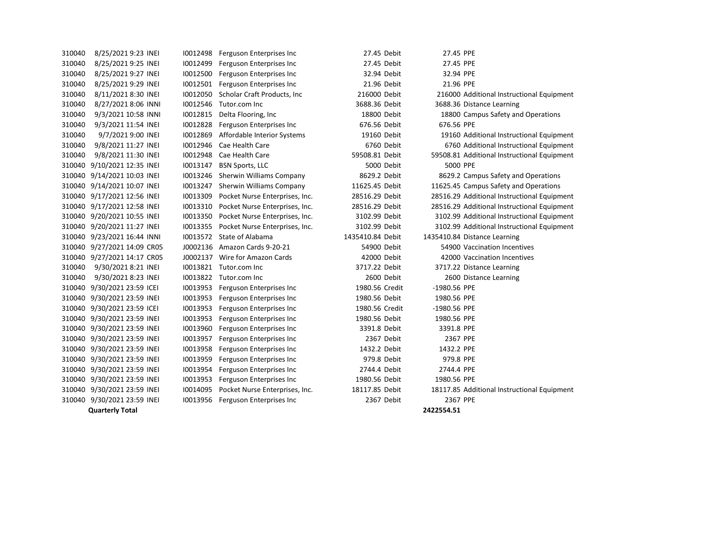| 310040 | 8/25/2021 9:23 INEI         | 10012498 | Ferguson Enterprises Inc       | 27.45 Debit      | 27.45 PPE    |                                             |
|--------|-----------------------------|----------|--------------------------------|------------------|--------------|---------------------------------------------|
| 310040 | 8/25/2021 9:25 INEI         | 10012499 | Ferguson Enterprises Inc       | 27.45 Debit      | 27.45 PPE    |                                             |
| 310040 | 8/25/2021 9:27 INEI         | 10012500 | Ferguson Enterprises Inc       | 32.94 Debit      | 32.94 PPE    |                                             |
| 310040 | 8/25/2021 9:29 INEI         | 10012501 | Ferguson Enterprises Inc       | 21.96 Debit      | 21.96 PPE    |                                             |
| 310040 | 8/11/2021 8:30 INEI         | 10012050 | Scholar Craft Products, Inc.   | 216000 Debit     |              | 216000 Additional Instructional Equipment   |
| 310040 | 8/27/2021 8:06 INNI         | 10012546 | Tutor.com Inc                  | 3688.36 Debit    |              | 3688.36 Distance Learning                   |
| 310040 | 9/3/2021 10:58 INNI         | 10012815 | Delta Flooring, Inc.           | 18800 Debit      |              | 18800 Campus Safety and Operations          |
| 310040 | 9/3/2021 11:54 INEI         | 10012828 | Ferguson Enterprises Inc       | 676.56 Debit     | 676.56 PPE   |                                             |
| 310040 | 9/7/2021 9:00 INEI          | 10012869 | Affordable Interior Systems    | 19160 Debit      |              | 19160 Additional Instructional Equipment    |
| 310040 | 9/8/2021 11:27 INEI         | 10012946 | Cae Health Care                | 6760 Debit       |              | 6760 Additional Instructional Equipment     |
| 310040 | 9/8/2021 11:30 INEI         | 10012948 | Cae Health Care                | 59508.81 Debit   |              | 59508.81 Additional Instructional Equipment |
|        | 310040 9/10/2021 12:35 INEI | 10013147 | <b>BSN Sports, LLC</b>         | 5000 Debit       | 5000 PPE     |                                             |
|        | 310040 9/14/2021 10:03 INEI | 10013246 | Sherwin Williams Company       | 8629.2 Debit     |              | 8629.2 Campus Safety and Operations         |
|        | 310040 9/14/2021 10:07 INEI | 10013247 | Sherwin Williams Company       | 11625.45 Debit   |              | 11625.45 Campus Safety and Operations       |
|        | 310040 9/17/2021 12:56 INEI | 10013309 | Pocket Nurse Enterprises, Inc. | 28516.29 Debit   |              | 28516.29 Additional Instructional Equipment |
|        | 310040 9/17/2021 12:58 INEI | 10013310 | Pocket Nurse Enterprises, Inc. | 28516.29 Debit   |              | 28516.29 Additional Instructional Equipment |
|        | 310040 9/20/2021 10:55 INEI | 10013350 | Pocket Nurse Enterprises, Inc. | 3102.99 Debit    |              | 3102.99 Additional Instructional Equipment  |
|        | 310040 9/20/2021 11:27 INEI | 10013355 | Pocket Nurse Enterprises, Inc. | 3102.99 Debit    |              | 3102.99 Additional Instructional Equipment  |
|        | 310040 9/23/2021 16:44 INNI |          | 10013572 State of Alabama      | 1435410.84 Debit |              | 1435410.84 Distance Learning                |
|        | 310040 9/27/2021 14:09 CR05 |          | J0002136 Amazon Cards 9-20-21  | 54900 Debit      |              | 54900 Vaccination Incentives                |
|        | 310040 9/27/2021 14:17 CR05 | J0002137 | Wire for Amazon Cards          | 42000 Debit      |              | 42000 Vaccination Incentives                |
| 310040 | 9/30/2021 8:21 INEI         |          | 10013821 Tutor.com Inc         | 3717.22 Debit    |              | 3717.22 Distance Learning                   |
| 310040 | 9/30/2021 8:23 INEI         | 10013822 | Tutor.com Inc                  | 2600 Debit       |              | 2600 Distance Learning                      |
|        | 310040 9/30/2021 23:59 ICEI | 10013953 | Ferguson Enterprises Inc       | 1980.56 Credit   | -1980.56 PPE |                                             |
|        | 310040 9/30/2021 23:59 INEI | 10013953 | Ferguson Enterprises Inc       | 1980.56 Debit    | 1980.56 PPE  |                                             |
|        | 310040 9/30/2021 23:59 ICEI | 10013953 | Ferguson Enterprises Inc       | 1980.56 Credit   | -1980.56 PPE |                                             |
|        | 310040 9/30/2021 23:59 INEI | 10013953 | Ferguson Enterprises Inc       | 1980.56 Debit    | 1980.56 PPE  |                                             |
| 310040 | 9/30/2021 23:59 INEI        | 10013960 | Ferguson Enterprises Inc       | 3391.8 Debit     | 3391.8 PPE   |                                             |
|        | 310040 9/30/2021 23:59 INEI | 10013957 | Ferguson Enterprises Inc       | 2367 Debit       | 2367 PPE     |                                             |
|        | 310040 9/30/2021 23:59 INEI | 10013958 | Ferguson Enterprises Inc       | 1432.2 Debit     | 1432.2 PPE   |                                             |
|        | 310040 9/30/2021 23:59 INEI | 10013959 | Ferguson Enterprises Inc       | 979.8 Debit      | 979.8 PPE    |                                             |
|        | 310040 9/30/2021 23:59 INEI | 10013954 | Ferguson Enterprises Inc       | 2744.4 Debit     | 2744.4 PPE   |                                             |
|        | 310040 9/30/2021 23:59 INEI | 10013953 | Ferguson Enterprises Inc       | 1980.56 Debit    | 1980.56 PPE  |                                             |
|        | 310040 9/30/2021 23:59 INEI | 10014095 | Pocket Nurse Enterprises, Inc. | 18117.85 Debit   |              | 18117.85 Additional Instructional Equipment |
|        | 310040 9/30/2021 23:59 INEI | 10013956 | Ferguson Enterprises Inc       | 2367 Debit       | 2367 PPE     |                                             |
|        | <b>Quarterly Total</b>      |          |                                |                  | 2422554.51   |                                             |